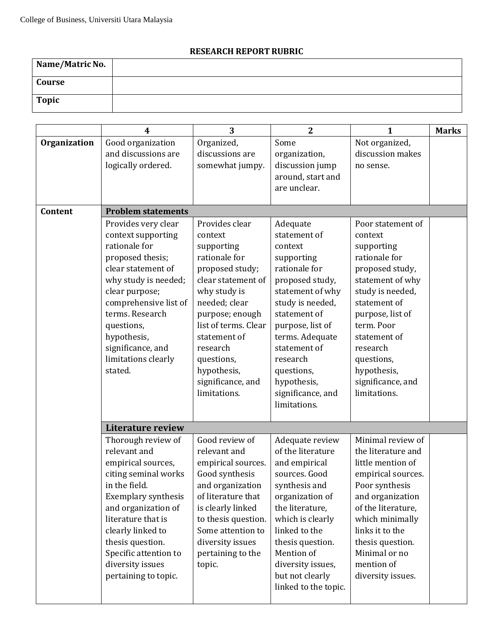## **RESEARCH REPORT RUBRIC**

| Name/Matric No. |  |
|-----------------|--|
| Course          |  |
| Topic           |  |

|              | 4                                                                                                                                                                                                                                                                                          | 3                                                                                                                                                                                                                                                                           | $\overline{2}$                                                                                                                                                                                                                                                                     | 1                                                                                                                                                                                                                                                                      | <b>Marks</b> |
|--------------|--------------------------------------------------------------------------------------------------------------------------------------------------------------------------------------------------------------------------------------------------------------------------------------------|-----------------------------------------------------------------------------------------------------------------------------------------------------------------------------------------------------------------------------------------------------------------------------|------------------------------------------------------------------------------------------------------------------------------------------------------------------------------------------------------------------------------------------------------------------------------------|------------------------------------------------------------------------------------------------------------------------------------------------------------------------------------------------------------------------------------------------------------------------|--------------|
| Organization | Good organization<br>and discussions are<br>logically ordered.                                                                                                                                                                                                                             | Organized,<br>discussions are<br>somewhat jumpy.                                                                                                                                                                                                                            | Some<br>organization,<br>discussion jump<br>around, start and<br>are unclear.                                                                                                                                                                                                      | Not organized,<br>discussion makes<br>no sense.                                                                                                                                                                                                                        |              |
| Content      | <b>Problem statements</b>                                                                                                                                                                                                                                                                  |                                                                                                                                                                                                                                                                             |                                                                                                                                                                                                                                                                                    |                                                                                                                                                                                                                                                                        |              |
|              | Provides very clear<br>context supporting<br>rationale for<br>proposed thesis;<br>clear statement of<br>why study is needed;<br>clear purpose;<br>comprehensive list of<br>terms. Research<br>questions,<br>hypothesis,<br>significance, and<br>limitations clearly<br>stated.             | Provides clear<br>context<br>supporting<br>rationale for<br>proposed study;<br>clear statement of<br>why study is<br>needed; clear<br>purpose; enough<br>list of terms. Clear<br>statement of<br>research<br>questions,<br>hypothesis,<br>significance, and<br>limitations. | Adequate<br>statement of<br>context<br>supporting<br>rationale for<br>proposed study,<br>statement of why<br>study is needed,<br>statement of<br>purpose, list of<br>terms. Adequate<br>statement of<br>research<br>questions,<br>hypothesis,<br>significance, and<br>limitations. | Poor statement of<br>context<br>supporting<br>rationale for<br>proposed study,<br>statement of why<br>study is needed,<br>statement of<br>purpose, list of<br>term. Poor<br>statement of<br>research<br>questions,<br>hypothesis,<br>significance, and<br>limitations. |              |
|              | <b>Literature review</b>                                                                                                                                                                                                                                                                   |                                                                                                                                                                                                                                                                             |                                                                                                                                                                                                                                                                                    |                                                                                                                                                                                                                                                                        |              |
|              | Thorough review of<br>relevant and<br>empirical sources,<br>citing seminal works<br>in the field.<br><b>Exemplary synthesis</b><br>and organization of<br>literature that is<br>clearly linked to<br>thesis question.<br>Specific attention to<br>diversity issues<br>pertaining to topic. | Good review of<br>relevant and<br>empirical sources.<br>Good synthesis<br>and organization<br>of literature that<br>is clearly linked<br>to thesis question.<br>Some attention to<br>diversity issues<br>pertaining to the<br>topic.                                        | Adequate review<br>of the literature<br>and empirical<br>sources. Good<br>synthesis and<br>organization of<br>the literature,<br>which is clearly<br>linked to the<br>thesis question.<br>Mention of<br>diversity issues,<br>but not clearly<br>linked to the topic.               | Minimal review of<br>the literature and<br>little mention of<br>empirical sources.<br>Poor synthesis<br>and organization<br>of the literature,<br>which minimally<br>links it to the<br>thesis question.<br>Minimal or no<br>mention of<br>diversity issues.           |              |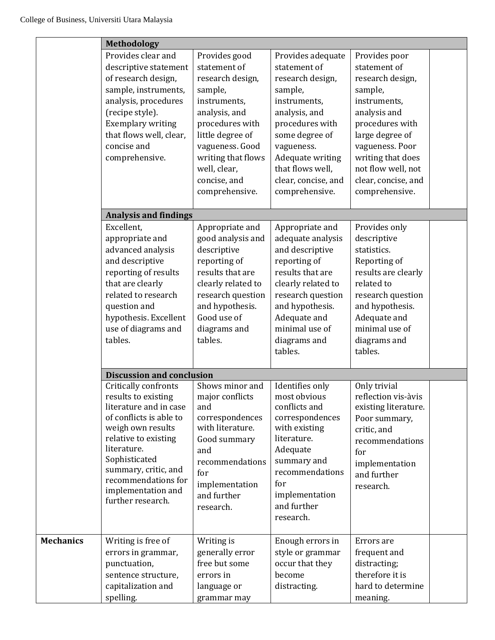|                  | <b>Methodology</b>                                                                                                                                                                                                                                                      |                                                                                                                                                                                                                                 |                                                                                                                                                                                                                                       |                                                                                                                                                                                                                                           |  |
|------------------|-------------------------------------------------------------------------------------------------------------------------------------------------------------------------------------------------------------------------------------------------------------------------|---------------------------------------------------------------------------------------------------------------------------------------------------------------------------------------------------------------------------------|---------------------------------------------------------------------------------------------------------------------------------------------------------------------------------------------------------------------------------------|-------------------------------------------------------------------------------------------------------------------------------------------------------------------------------------------------------------------------------------------|--|
|                  | Provides clear and<br>descriptive statement<br>of research design,<br>sample, instruments,<br>analysis, procedures<br>(recipe style).<br><b>Exemplary writing</b><br>that flows well, clear,<br>concise and<br>comprehensive.                                           | Provides good<br>statement of<br>research design,<br>sample,<br>instruments,<br>analysis, and<br>procedures with<br>little degree of<br>vagueness. Good<br>writing that flows<br>well, clear,<br>concise, and<br>comprehensive. | Provides adequate<br>statement of<br>research design,<br>sample,<br>instruments,<br>analysis, and<br>procedures with<br>some degree of<br>vagueness.<br>Adequate writing<br>that flows well,<br>clear, concise, and<br>comprehensive. | Provides poor<br>statement of<br>research design,<br>sample,<br>instruments,<br>analysis and<br>procedures with<br>large degree of<br>vagueness. Poor<br>writing that does<br>not flow well, not<br>clear, concise, and<br>comprehensive. |  |
|                  |                                                                                                                                                                                                                                                                         |                                                                                                                                                                                                                                 |                                                                                                                                                                                                                                       |                                                                                                                                                                                                                                           |  |
|                  | <b>Analysis and findings</b><br>Excellent,<br>appropriate and<br>advanced analysis<br>and descriptive<br>reporting of results<br>that are clearly<br>related to research<br>question and<br>hypothesis. Excellent<br>use of diagrams and<br>tables.                     | Appropriate and<br>good analysis and<br>descriptive<br>reporting of<br>results that are<br>clearly related to<br>research question<br>and hypothesis.<br>Good use of<br>diagrams and<br>tables.                                 | Appropriate and<br>adequate analysis<br>and descriptive<br>reporting of<br>results that are<br>clearly related to<br>research question<br>and hypothesis.<br>Adequate and<br>minimal use of<br>diagrams and<br>tables.                | Provides only<br>descriptive<br>statistics.<br>Reporting of<br>results are clearly<br>related to<br>research question<br>and hypothesis.<br>Adequate and<br>minimal use of<br>diagrams and<br>tables.                                     |  |
|                  | <b>Discussion and conclusion</b>                                                                                                                                                                                                                                        |                                                                                                                                                                                                                                 |                                                                                                                                                                                                                                       |                                                                                                                                                                                                                                           |  |
|                  | Critically confronts<br>results to existing<br>literature and in case<br>of conflicts is able to<br>weigh own results<br>relative to existing<br>literature.<br>Sophisticated<br>summary, critic, and<br>recommendations for<br>implementation and<br>further research. | Shows minor and<br>major conflicts<br>and<br>correspondences<br>with literature.<br>Good summary<br>and<br>recommendations<br>for<br>implementation<br>and further<br>research.                                                 | Identifies only<br>most obvious<br>conflicts and<br>correspondences<br>with existing<br>literature.<br>Adequate<br>summary and<br>recommendations<br>for<br>implementation<br>and further<br>research.                                | Only trivial<br>reflection vis-àvis<br>existing literature.<br>Poor summary,<br>critic, and<br>recommendations<br>for<br>implementation<br>and further<br>research.                                                                       |  |
| <b>Mechanics</b> | Writing is free of<br>errors in grammar,<br>punctuation,<br>sentence structure,<br>capitalization and<br>spelling.                                                                                                                                                      | Writing is<br>generally error<br>free but some<br>errors in<br>language or<br>grammar may                                                                                                                                       | Enough errors in<br>style or grammar<br>occur that they<br>become<br>distracting.                                                                                                                                                     | Errors are<br>frequent and<br>distracting;<br>therefore it is<br>hard to determine<br>meaning.                                                                                                                                            |  |